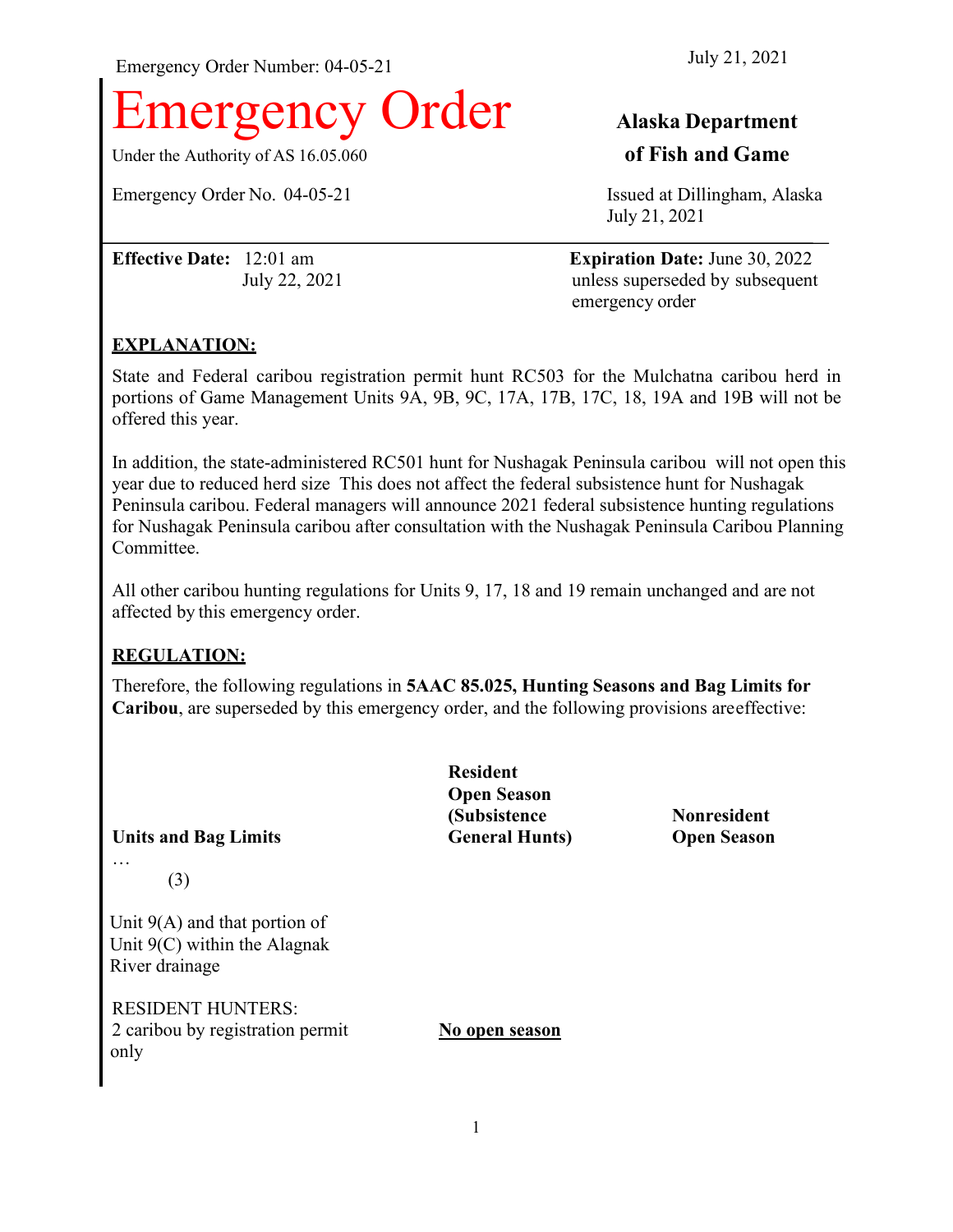Emergency Order Number: 04-05-21 July 21, 2021

# **Example 1 Alaska Department**

Under the Authority of AS 16.05.060 **of Fish and Game**

Emergency Order No. 04-05-21 **Issued at Dillingham**, Alaska

July 21, 2021

**Effective Date:** 12:01 am **Expiration Date:** June 30, 2022 July 22, 2021 unless superseded by subsequent emergency order

### **EXPLANATION:**

State and Federal caribou registration permit hunt RC503 for the Mulchatna caribou herd in portions of Game Management Units 9A, 9B, 9C, 17A, 17B, 17C, 18, 19A and 19B will not be offered this year.

In addition, the state-administered RC501 hunt for Nushagak Peninsula caribou will not open this year due to reduced herd size This does not affect the federal subsistence hunt for Nushagak Peninsula caribou. Federal managers will announce 2021 federal subsistence hunting regulations for Nushagak Peninsula caribou after consultation with the Nushagak Peninsula Caribou Planning Committee.

All other caribou hunting regulations for Units 9, 17, 18 and 19 remain unchanged and are not affected by this emergency order.

# **REGULATION:**

Therefore, the following regulations in **5AAC 85.025, Hunting Seasons and Bag Limits for Caribou**, are superseded by this emergency order, and the following provisions areeffective:

**Units and Bag Limits General Hunts) Open Season** …

(3)

Unit 9(A) and that portion of Unit 9(C) within the Alagnak River drainage

RESIDENT HUNTERS: 2 caribou by registration permit **No open season** only

**Resident Open Season (Subsistence Nonresident**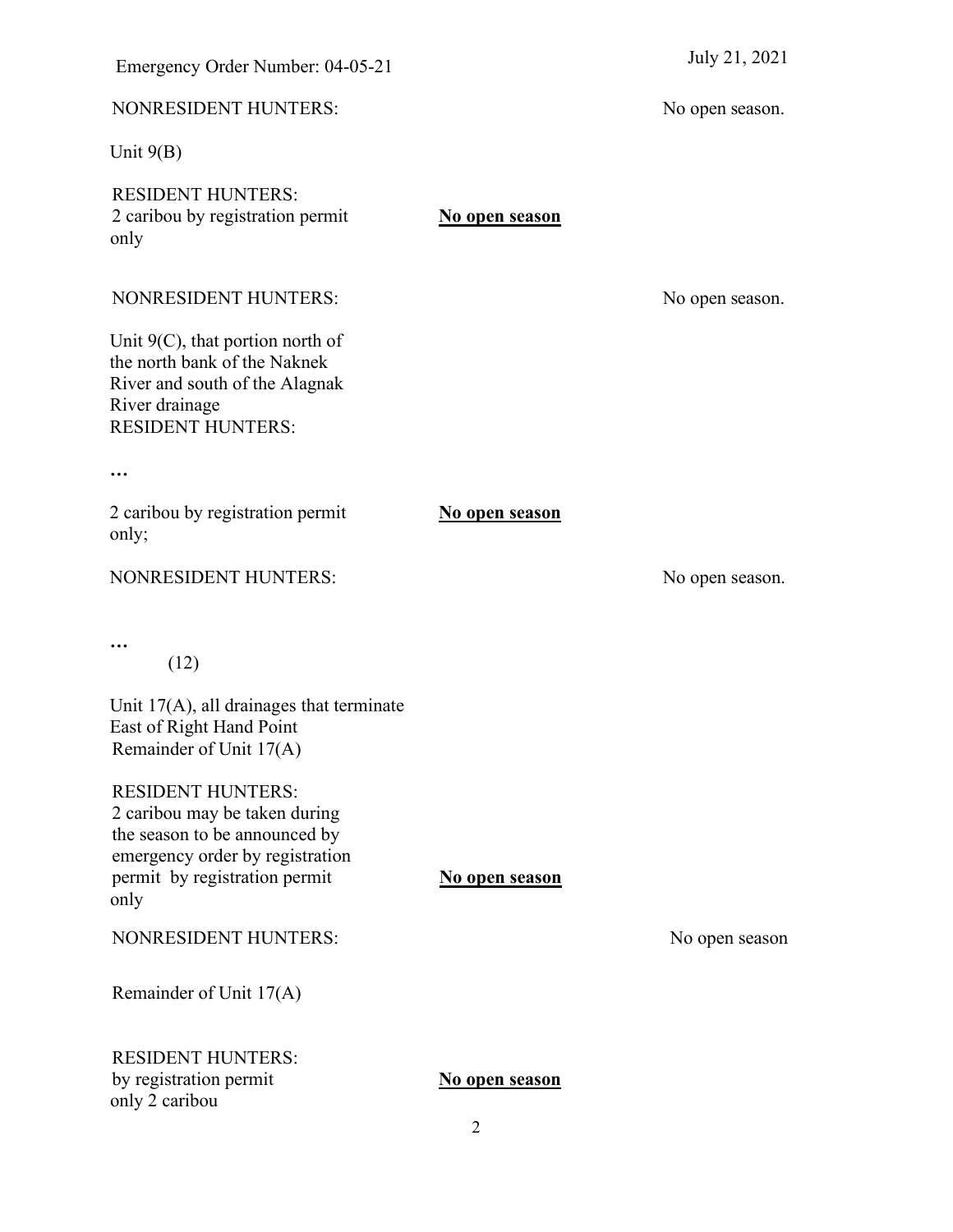| <b>NONRESIDENT HUNTERS:</b>                                                                                                                                            |                       | N |
|------------------------------------------------------------------------------------------------------------------------------------------------------------------------|-----------------------|---|
| Unit $9(B)$                                                                                                                                                            |                       |   |
| <b>RESIDENT HUNTERS:</b><br>2 caribou by registration permit<br>only                                                                                                   | No open season        |   |
| <b>NONRESIDENT HUNTERS:</b>                                                                                                                                            |                       | Ŋ |
| Unit $9(C)$ , that portion north of<br>the north bank of the Naknek<br>River and south of the Alagnak<br>River drainage<br><b>RESIDENT HUNTERS:</b>                    |                       |   |
|                                                                                                                                                                        |                       |   |
| 2 caribou by registration permit<br>only;                                                                                                                              | <b>No open season</b> |   |
| <b>NONRESIDENT HUNTERS:</b>                                                                                                                                            |                       | Ŋ |
| (12)<br>Unit $17(A)$ , all drainages that terminate<br>East of Right Hand Point                                                                                        |                       |   |
| Remainder of Unit 17(A)                                                                                                                                                |                       |   |
| <b>RESIDENT HUNTERS:</b><br>2 caribou may be taken during<br>the season to be announced by<br>emergency order by registration<br>permit by registration permit<br>only | No open season        |   |
| <b>NONRESIDENT HUNTERS:</b>                                                                                                                                            |                       |   |
| Remainder of Unit 17(A)                                                                                                                                                |                       |   |
| <b>RESIDENT HUNTERS:</b><br>by registration permit<br>only 2 caribou                                                                                                   | <u>No open season</u> |   |

No open season.

No open season.

No open season.

No open season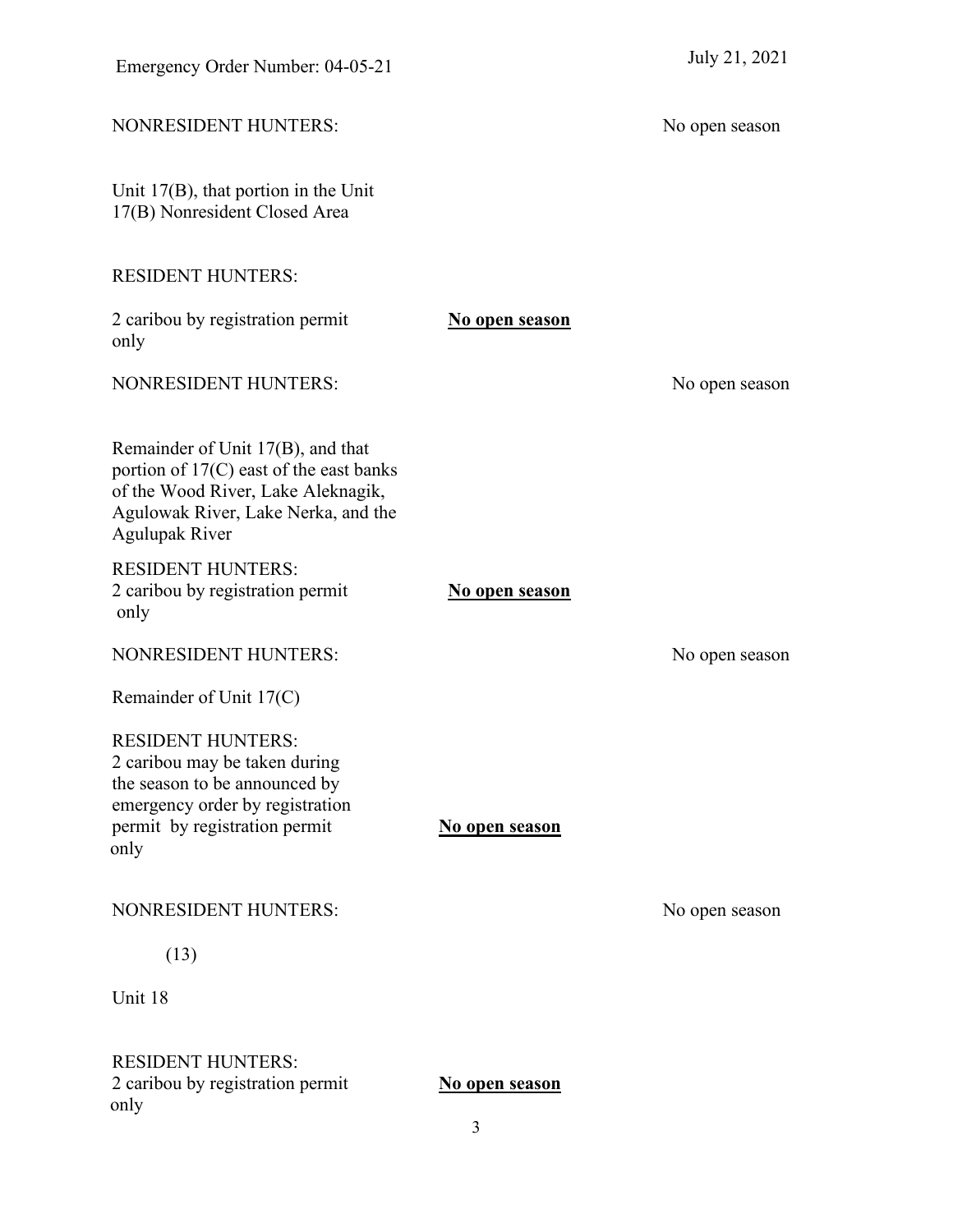| Emergency Order Number: 04-05-21                                                                                                                                                   |                |                |
|------------------------------------------------------------------------------------------------------------------------------------------------------------------------------------|----------------|----------------|
| <b>NONRESIDENT HUNTERS:</b>                                                                                                                                                        |                | No open season |
| Unit $17(B)$ , that portion in the Unit<br>17(B) Nonresident Closed Area                                                                                                           |                |                |
| <b>RESIDENT HUNTERS:</b>                                                                                                                                                           |                |                |
| 2 caribou by registration permit<br>only                                                                                                                                           | No open season |                |
| <b>NONRESIDENT HUNTERS:</b>                                                                                                                                                        |                | No open season |
| Remainder of Unit 17(B), and that<br>portion of 17(C) east of the east banks<br>of the Wood River, Lake Aleknagik,<br>Agulowak River, Lake Nerka, and the<br><b>Agulupak River</b> |                |                |
| <b>RESIDENT HUNTERS:</b><br>2 caribou by registration permit<br>only                                                                                                               | No open season |                |
| <b>NONRESIDENT HUNTERS:</b>                                                                                                                                                        |                | No open season |
| Remainder of Unit 17(C)                                                                                                                                                            |                |                |
| <b>RESIDENT HUNTERS:</b><br>2 caribou may be taken during<br>the season to be announced by<br>emergency order by registration<br>permit by registration permit<br>only             | No open season |                |
| <b>NONRESIDENT HUNTERS:</b>                                                                                                                                                        |                | No open season |
| (13)                                                                                                                                                                               |                |                |
| Unit 18                                                                                                                                                                            |                |                |
| <b>RESIDENT HUNTERS:</b><br>2 caribou by registration permit<br>only                                                                                                               | No open season |                |

3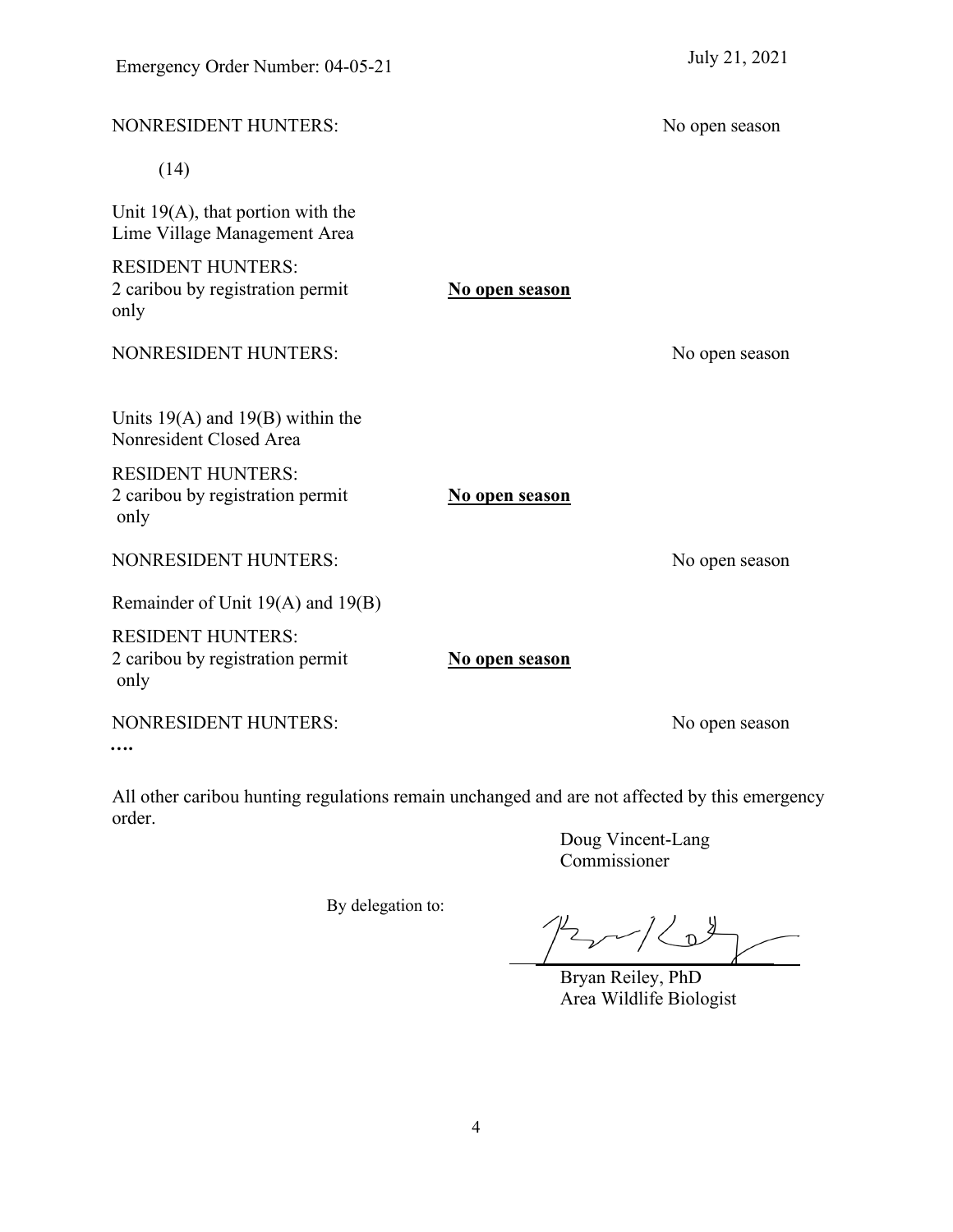| NONRESIDENT HUNTERS:                                                 |                | No open season |
|----------------------------------------------------------------------|----------------|----------------|
| (14)                                                                 |                |                |
| Unit $19(A)$ , that portion with the<br>Lime Village Management Area |                |                |
| <b>RESIDENT HUNTERS:</b><br>2 caribou by registration permit<br>only | No open season |                |
| <b>NONRESIDENT HUNTERS:</b>                                          |                | No open season |
| Units $19(A)$ and $19(B)$ within the<br>Nonresident Closed Area      |                |                |
| <b>RESIDENT HUNTERS:</b><br>2 caribou by registration permit<br>only | No open season |                |
| <b>NONRESIDENT HUNTERS:</b>                                          |                | No open season |
| Remainder of Unit 19(A) and 19(B)                                    |                |                |
| <b>RESIDENT HUNTERS:</b><br>2 caribou by registration permit<br>only | No open season |                |
| NONRESIDENT HUNTERS:                                                 |                | No open season |
|                                                                      |                |                |

All other caribou hunting regulations remain unchanged and are not affected by this emergency order.

By delegation to:

Doug Vincent-Lang Commissioner

 $12/10$ 

Bryan Reiley, PhD Area Wildlife Biologist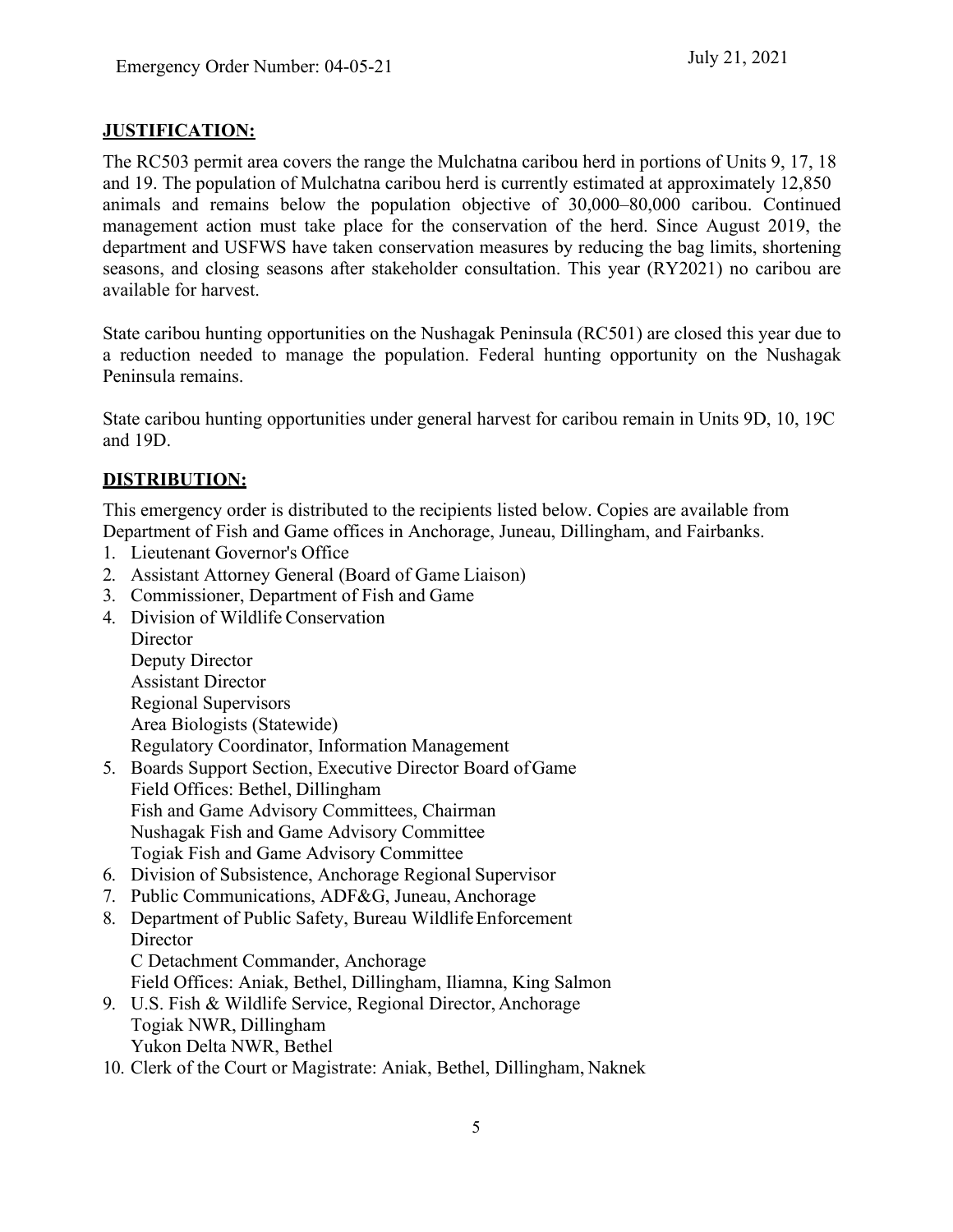### **JUSTIFICATION:**

The RC503 permit area covers the range the Mulchatna caribou herd in portions of Units 9, 17, 18 and 19. The population of Mulchatna caribou herd is currently estimated at approximately 12,850 animals and remains below the population objective of 30,000–80,000 caribou. Continued management action must take place for the conservation of the herd. Since August 2019, the department and USFWS have taken conservation measures by reducing the bag limits, shortening seasons, and closing seasons after stakeholder consultation. This year (RY2021) no caribou are available for harvest.

State caribou hunting opportunities on the Nushagak Peninsula (RC501) are closed this year due to a reduction needed to manage the population. Federal hunting opportunity on the Nushagak Peninsula remains.

State caribou hunting opportunities under general harvest for caribou remain in Units 9D, 10, 19C and 19D.

## **DISTRIBUTION:**

This emergency order is distributed to the recipients listed below. Copies are available from Department of Fish and Game offices in Anchorage, Juneau, Dillingham, and Fairbanks.

- 1. Lieutenant Governor's Office
- 2. Assistant Attorney General (Board of Game Liaison)
- 3. Commissioner, Department of Fish and Game
- 4. Division of Wildlife Conservation **Director** Deputy Director Assistant Director Regional Supervisors Area Biologists (Statewide)

Regulatory Coordinator, Information Management

- 5. Boards Support Section, Executive Director Board ofGame Field Offices: Bethel, Dillingham Fish and Game Advisory Committees, Chairman Nushagak Fish and Game Advisory Committee Togiak Fish and Game Advisory Committee
- 6. Division of Subsistence, Anchorage Regional Supervisor
- 7. Public Communications, ADF&G, Juneau, Anchorage
- 8. Department of Public Safety, Bureau WildlifeEnforcement **Director** C Detachment Commander, Anchorage Field Offices: Aniak, Bethel, Dillingham, Iliamna, King Salmon 9. U.S. Fish & Wildlife Service, Regional Director, Anchorage
- Togiak NWR, Dillingham Yukon Delta NWR, Bethel
- 10. Clerk of the Court or Magistrate: Aniak, Bethel, Dillingham, Naknek